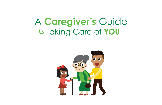# A **Caregiver's** Guide to Taking Care of **YOU**

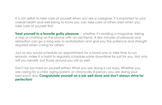It is not selfish to take care of yourself when you are a caregiver. It is important to your overall health and well being to know you can take care of others best when you take care of yourself first!

**Treat yourself to a favorite guilty pleasure** -- whether it's reading a magazine, taking a nap or chatting on the phone with an old friend. A few minutes of pleasure and relaxation can go a long way to revitalization and give you the patience and strength required when caring for others.

Just as you would schedule an appointment for a loved one or take time to run errands, make it a habit to regularly schedule some downtime for just for you. Not only will you benefit, but those around you will as well.

Don't be too hard on yourself either! What you are doing is not easy. Whether you are caring for a child, aging parent, or chronically ill person, you are doing your best each day. **Congratulate yourself on a job well done and don't always strive for perfection!**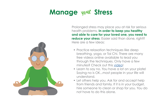### **Manage** your **Stress**



Prolonged stress may place you at risk for serious health problems. **In order to keep you healthy and able to care for your loved one, you need to reduce your stress**. Easier said than done, right? Here are a few ideas:

- Practice relaxation techniques like deep breathing, yoga, or Tai Chi. There are many free videos online available to lead you through the techniques. Only have a few minutes? Check out this [video](https://youtu.be/O79OsbeHBno)!
- Learn to say no. You have a lot on your plate! Saying no is OK...most people in your life will understand.
- Let others help you. Ask for and accept help from friends and family. If it is in your budget, hire someone to clean or shop for you. You do not have to do this alone.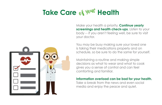# **Take Care of your Health**

Make your health a priority. **Continue yearly screenings and health check-ups.** Listen to your body -- if you aren't feeling well, be sure to visit your doctor.

You may be busy making sure your loved one is taking their medications properly and on schedule, so be sure to do the same for yourself.

Maintaining a routine and making simple decisions as what to wear and what to cook gives you a sense of control and can feel comforting and familiar.

#### **Information overload can be bad for your health.**

Take a break from the news and even social media and enjoy the peace and quiet.

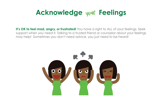# **Acknowledge your Feelings**

**It's OK to feel mad, angry, or frustrated!** You have a right to ALL of your feelings. Seek support when you need it. Talking to a trusted friend or counselor about your feelings may help! Sometimes you don't need advice, you just need to be heard!

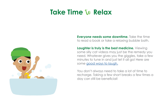### **Take Time** to **Relax**



**Everyone needs some downtime.** Take the time to read a book or take a relaxing bubble bath.

**Laughter is truly is the best medicine.** Viewing some silly cat videos may just be the remedy you need. Whatever gives you the giggles, take a few minutes to tune in and just let it all go! Here are some [good ways to laugh.](https://www.verywell.com/laughing-more-and-having-fun-3144869)

You don't always need to take a lot of time to recharge. Taking a few short breaks a few times a day can still be beneficial!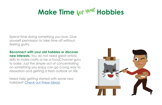# **Make Time for your Hobbies**

Spend time doing something you love. Give yourself permission to take time off without feeling guilty.

**Reconnect with your old hobbies or discover** 

**new interests.** You do not need great artistic skills to make crafts or be a *FoodChannel* guru to bake. Just the simple act of concentrating on something you enjoy can go a long way to relaxation and getting a fresh outlook on life.

Need help getting started with some new hobbies? [Check out these ideas!](http://Check out these ideas! ) 

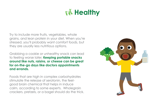# Eat**Healthy**

Try to include more fruits, vegetables, whole grains, and lean protein in your diet. When you're stressed, you'll probably want comfort foods, but they are usually less nutritious options.

Grabbing a cookie or unhealthy snack can lead to feeling worse later. **Keeping portable snacks around like nuts, raisins, or cheese can be great for on-the-go days like doctors appointments and errands.**

Foods that are high in complex carbohydrates stimulate the release of serotonin, the feelgood brain chemical that helps in induce calm, according to some experts. Wholegrain crackers, pretzels, or a bagel should do the trick.

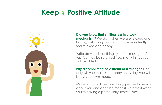## **Keep** <sup>a</sup> **Positive Attitude**



#### **Did you know that smiling is a two-way**

**mechanism?** We do it when we are relaxed and happy, but doing it can also make us **actually**  feel relaxed and happy!

Write down a list of things you feel most grateful for. You may be surprised how many things you will be able to list.

### **Pay a compliment to a friend or a stranger**. Not

only will you make somebody else's day, you will boost your own mood.

Make a list of all the nice things people have said about you and don't be modest. Refer to it when you're having a particularly stressful day.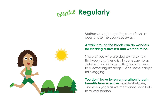# **Figurally** Regularly



Mother was right - getting some fresh air does chase the cobwebs away!

#### **A walk around the block can do wonders for clearing a stressed and worried mind.**

Those of you who are dog owners know that your furry friend is always eager to go outside. It will do you both good and lead to a better night's sleep -- and some happy tail wagging!

**You don't have to run a marathon to gain benefits from exercise.** Simple stretches, and even yoga as we mentioned, can help to relieve tension.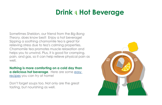# **Drink** <sup>a</sup> **Hot Beverage**

Sometimes Sheldon, our friend from the *Big Bang Theory*, does know best! Enjoy a hot beverage! Sipping a soothing chamomile tea is great for relieving stress due to tea's calming properties. Chamomile tea promotes muscle relaxation and helps you to unwind. Plus, it is good for cramping, pain, and gas, so it can help relieve physical pain as well.

**Nothing is more comforting on a cold day than a delicious hot beverage**. Here are some [easy](http://www.cookbookpeople.com/blog/2008/11/10/top-5-hot-comfort-beverages-to-spice-up-a-cold-autumn-day/)  [recipes](http://www.cookbookpeople.com/blog/2008/11/10/top-5-hot-comfort-beverages-to-spice-up-a-cold-autumn-day/) you can try at home!

Don't forget soups too. Not only are the great tasting, but nourishing as well.

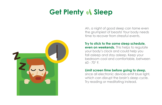# **Get Plenty** of **Sleep**



Ah, a night of good sleep can tame even the grumpiest of beasts! Your body needs time to recover from stressful events.

**Try to stick to the same sleep schedule, even on weekends.** This helps to regulate your body's clock and could help you fall asleep and stay asleep. Keep your bedroom cool and comfortable, between  $60 - 70$ ° F.

#### **Limit screen time before going to sleep,**

since all electronic devices emit blue light, which can disrupt the brain's sleep cycle. Try reading or meditating instead.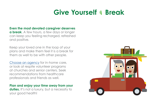# **Give Yourself** <sup>a</sup> **Break**

**Even the most devoted caregiver deserves** 

**a break**. A few hours, a few days or longer can keep you feeling recharged, refreshed and positive.

Keep your loved one in the loop of your plans and make them feel it is a break for them as well to be with other people.

[Choose an agency](http://www.aarp.org/relationships/caregiving-resource-center/info-10-2010/pc_choosing_an_agency_for_inhome_care_video.html) for in-home care, or look at respite volunteer programs at churches and senior centers. Seek recommendations from healthcare professionals and friends as well.

**Plan and enjoy your time away from your duties.** It's not a luxury, but a necessity to your good health!